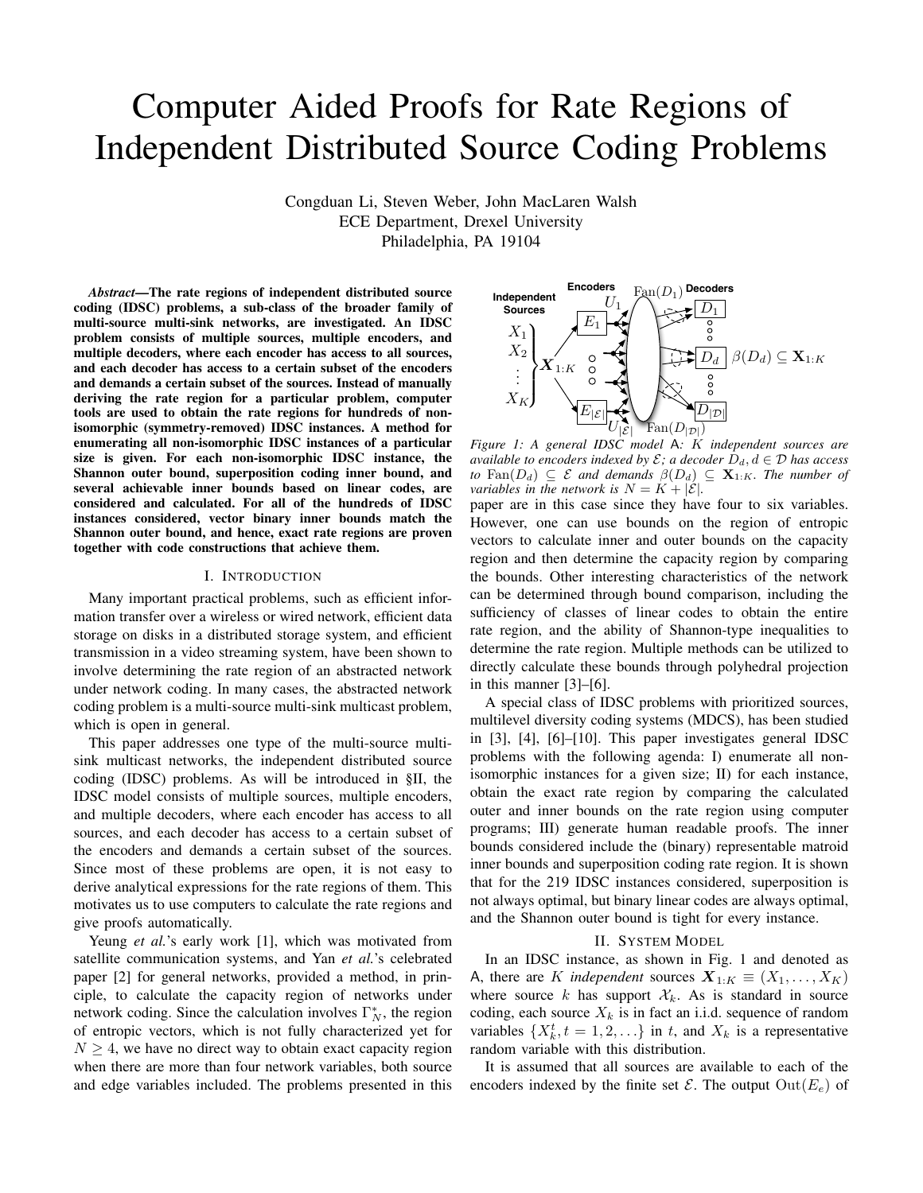# Computer Aided Proofs for Rate Regions of Independent Distributed Source Coding Problems

Congduan Li, Steven Weber, John MacLaren Walsh ECE Department, Drexel University Philadelphia, PA 19104

*Abstract*—The rate regions of independent distributed source coding (IDSC) problems, a sub-class of the broader family of multi-source multi-sink networks, are investigated. An IDSC problem consists of multiple sources, multiple encoders, and multiple decoders, where each encoder has access to all sources, and each decoder has access to a certain subset of the encoders and demands a certain subset of the sources. Instead of manually deriving the rate region for a particular problem, computer tools are used to obtain the rate regions for hundreds of nonisomorphic (symmetry-removed) IDSC instances. A method for enumerating all non-isomorphic IDSC instances of a particular size is given. For each non-isomorphic IDSC instance, the Shannon outer bound, superposition coding inner bound, and several achievable inner bounds based on linear codes, are considered and calculated. For all of the hundreds of IDSC instances considered, vector binary inner bounds match the Shannon outer bound, and hence, exact rate regions are proven together with code constructions that achieve them.

#### I. INTRODUCTION

Many important practical problems, such as efficient information transfer over a wireless or wired network, efficient data storage on disks in a distributed storage system, and efficient transmission in a video streaming system, have been shown to involve determining the rate region of an abstracted network under network coding. In many cases, the abstracted network coding problem is a multi-source multi-sink multicast problem, which is open in general.

This paper addresses one type of the multi-source multisink multicast networks, the independent distributed source coding (IDSC) problems. As will be introduced in §II, the IDSC model consists of multiple sources, multiple encoders, and multiple decoders, where each encoder has access to all sources, and each decoder has access to a certain subset of the encoders and demands a certain subset of the sources. Since most of these problems are open, it is not easy to derive analytical expressions for the rate regions of them. This motivates us to use computers to calculate the rate regions and give proofs automatically.

Yeung *et al.*'s early work [1], which was motivated from satellite communication systems, and Yan *et al.*'s celebrated paper [2] for general networks, provided a method, in principle, to calculate the capacity region of networks under network coding. Since the calculation involves  $\Gamma_N^*$ , the region of entropic vectors, which is not fully characterized yet for  $N > 4$ , we have no direct way to obtain exact capacity region when there are more than four network variables, both source and edge variables included. The problems presented in this



*available to encoders indexed by*  $\mathcal{E}$ ; *a decoder*  $D_d$ ,  $d \in \mathcal{D}$  *has access to*  $\text{Fan}(D_d) \subseteq \mathcal{E}$  *and demands*  $\beta(D_d) \subseteq \mathbf{X}_{1:K}$ *. The number of variables in the network is*  $N = K + |\mathcal{E}|$ *.* 

paper are in this case since they have four to six variables. However, one can use bounds on the region of entropic vectors to calculate inner and outer bounds on the capacity region and then determine the capacity region by comparing the bounds. Other interesting characteristics of the network can be determined through bound comparison, including the sufficiency of classes of linear codes to obtain the entire rate region, and the ability of Shannon-type inequalities to determine the rate region. Multiple methods can be utilized to directly calculate these bounds through polyhedral projection in this manner [3]–[6].

A special class of IDSC problems with prioritized sources, multilevel diversity coding systems (MDCS), has been studied in [3], [4], [6]–[10]. This paper investigates general IDSC problems with the following agenda: I) enumerate all nonisomorphic instances for a given size; II) for each instance, obtain the exact rate region by comparing the calculated outer and inner bounds on the rate region using computer programs; III) generate human readable proofs. The inner bounds considered include the (binary) representable matroid inner bounds and superposition coding rate region. It is shown that for the 219 IDSC instances considered, superposition is not always optimal, but binary linear codes are always optimal, and the Shannon outer bound is tight for every instance.

#### II. SYSTEM MODEL

In an IDSC instance, as shown in Fig. 1 and denoted as A, there are K *independent* sources  $X_{1:K} \equiv (X_1, \ldots, X_K)$ where source k has support  $\mathcal{X}_k$ . As is standard in source coding, each source  $X_k$  is in fact an i.i.d. sequence of random variables  $\{X_k^t, t = 1, 2, \ldots\}$  in t, and  $X_k$  is a representative random variable with this distribution.

It is assumed that all sources are available to each of the encoders indexed by the finite set  $\mathcal{E}$ . The output  $Out(E_e)$  of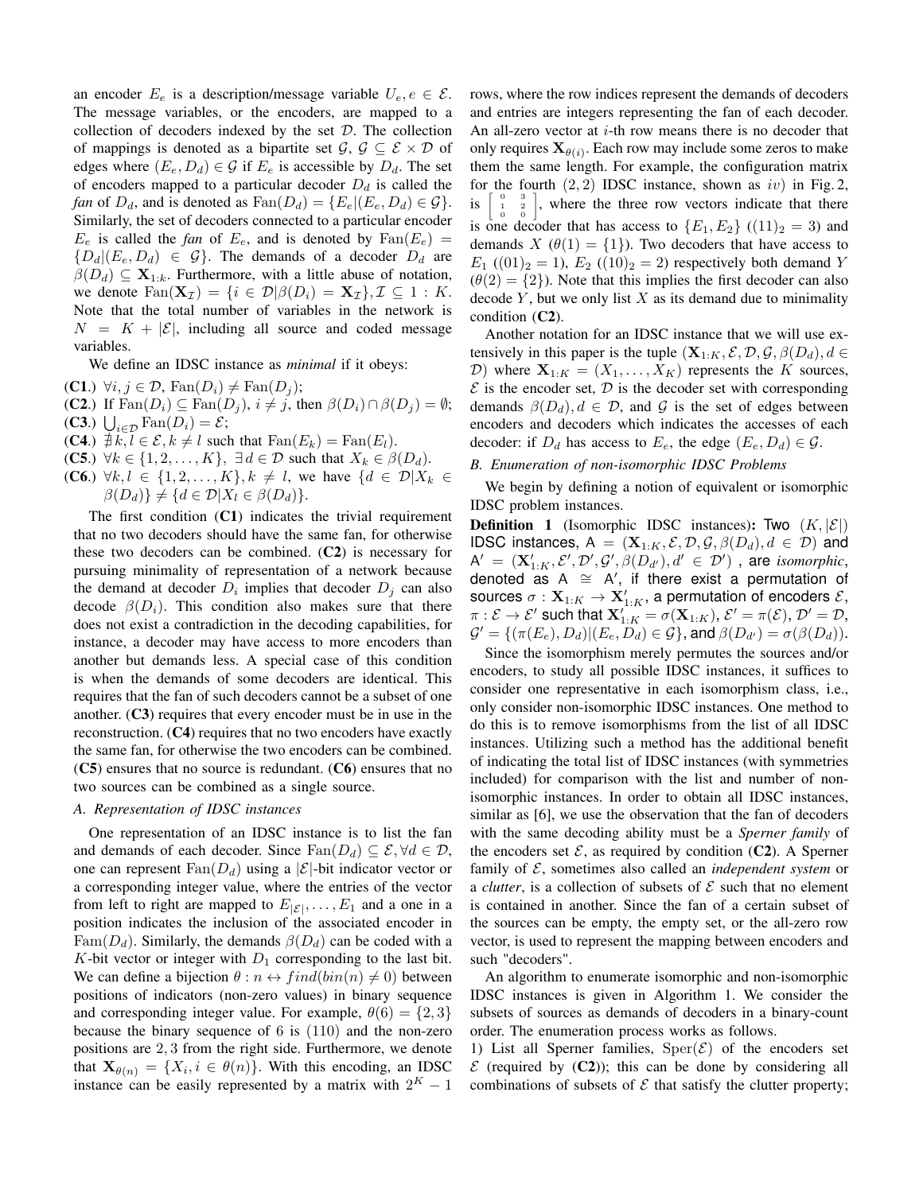an encoder  $E_e$  is a description/message variable  $U_e, e \in \mathcal{E}$ . The message variables, or the encoders, are mapped to a collection of decoders indexed by the set  $D$ . The collection of mappings is denoted as a bipartite set  $\mathcal{G}, \mathcal{G} \subseteq \mathcal{E} \times \mathcal{D}$  of edges where  $(E_e, D_d) \in \mathcal{G}$  if  $E_e$  is accessible by  $D_d$ . The set of encoders mapped to a particular decoder  $D_d$  is called the *fan* of  $D_d$ , and is denoted as  $\text{Fan}(D_d) = \{E_e | (E_e, D_d) \in \mathcal{G}\}.$ Similarly, the set of decoders connected to a particular encoder  $E_e$  is called the *fan* of  $E_e$ , and is denoted by  $\text{Fan}(E_e)$  =  ${D_d | (E_e, D_d) \in \mathcal{G}}$ . The demands of a decoder  $D_d$  are  $\beta(D_d) \subseteq \mathbf{X}_{1:k}$ . Furthermore, with a little abuse of notation, we denote  $\text{Fan}(\mathbf{X}_{\mathcal{I}}) = \{i \in \mathcal{D} | \beta(D_i) = \mathbf{X}_{\mathcal{I}}\}\, \mathcal{I} \subseteq 1 : K.$ Note that the total number of variables in the network is  $N = K + |\mathcal{E}|$ , including all source and coded message variables.

We define an IDSC instance as *minimal* if it obeys:

- (C1.) ∀*i*,  $j \in \mathcal{D}$ , Fan $(D_i) \neq \text{Fan}(D_j)$ ;
- (C2.) If  $\text{Fan}(D_i) \subseteq \text{Fan}(D_j)$ ,  $i \neq j$ , then  $\beta(D_i) \cap \beta(D_j) = \emptyset$ ;
- (C3.)  $\bigcup_{i \in \mathcal{D}} \text{Fan}(D_i) = \mathcal{E};$
- (C4.)  $\sharp k, l \in \mathcal{E}, k \neq l$  such that  $\text{Fan}(E_k) = \text{Fan}(E_l)$ .
- (C5.)  $\forall k \in \{1, 2, ..., K\}, \exists d \in \mathcal{D}$  such that  $X_k \in \beta(D_d)$ .
- (C6.)  $\forall k, l \in \{1, 2, \ldots, K\}, k \neq l$ , we have  $\{d \in \mathcal{D} | X_k \in$  $\beta(D_d)$ }  $\neq$  { $d \in \mathcal{D}|X_l \in \beta(D_d)$ }.

The first condition  $(C1)$  indicates the trivial requirement that no two decoders should have the same fan, for otherwise these two decoders can be combined.  $(C2)$  is necessary for pursuing minimality of representation of a network because the demand at decoder  $D_i$  implies that decoder  $D_j$  can also decode  $\beta(D_i)$ . This condition also makes sure that there does not exist a contradiction in the decoding capabilities, for instance, a decoder may have access to more encoders than another but demands less. A special case of this condition is when the demands of some decoders are identical. This requires that the fan of such decoders cannot be a subset of one another. (C3) requires that every encoder must be in use in the reconstruction. (C4) requires that no two encoders have exactly the same fan, for otherwise the two encoders can be combined. (C5) ensures that no source is redundant. (C6) ensures that no two sources can be combined as a single source.

# *A. Representation of IDSC instances*

One representation of an IDSC instance is to list the fan and demands of each decoder. Since  $\text{Fan}(D_d) \subseteq \mathcal{E}, \forall d \in \mathcal{D}$ , one can represent  $Fan(D_d)$  using a  $|\mathcal{E}|$ -bit indicator vector or a corresponding integer value, where the entries of the vector from left to right are mapped to  $E_{\mathcal{E}}$ ,...,  $E_1$  and a one in a position indicates the inclusion of the associated encoder in Fam( $D_d$ ). Similarly, the demands  $\beta(D_d)$  can be coded with a K-bit vector or integer with  $D_1$  corresponding to the last bit. We can define a bijection  $\theta : n \leftrightarrow find(bin(n) \neq 0)$  between positions of indicators (non-zero values) in binary sequence and corresponding integer value. For example,  $\theta(6) = \{2, 3\}$ because the binary sequence of 6 is (110) and the non-zero positions are 2, 3 from the right side. Furthermore, we denote that  $\mathbf{X}_{\theta(n)} = \{X_i, i \in \theta(n)\}\)$ . With this encoding, an IDSC instance can be easily represented by a matrix with  $2<sup>K</sup> - 1$  rows, where the row indices represent the demands of decoders and entries are integers representing the fan of each decoder. An all-zero vector at  $i$ -th row means there is no decoder that only requires  $\mathbf{X}_{\theta(i)}$ . Each row may include some zeros to make them the same length. For example, the configuration matrix for the fourth  $(2, 2)$  IDSC instance, shown as iv) in Fig. 2, is Л T  $\begin{array}{ccc} 0 & 3 \\ 1 & 2 \\ 0 & 0 \end{array}$  , where the three row vectors indicate that there is one decoder that has access to  ${E_1, E_2}$  ((11)<sub>2</sub> = 3) and demands  $X(\theta(1) = \{1\})$ . Two decoders that have access to  $E_1$  ((01)<sub>2</sub> = 1),  $E_2$  ((10)<sub>2</sub> = 2) respectively both demand Y  $(\theta(2) = \{2\})$ . Note that this implies the first decoder can also decode  $Y$ , but we only list  $X$  as its demand due to minimality condition (C2).

Another notation for an IDSC instance that we will use extensively in this paper is the tuple  $(\mathbf{X}_{1:K}, \mathcal{E}, \mathcal{D}, \mathcal{G}, \beta(D_d), d \in$ D) where  $X_{1:K} = (X_1, \ldots, X_K)$  represents the K sources,  $\mathcal E$  is the encoder set,  $\mathcal D$  is the decoder set with corresponding demands  $\beta(D_d)$ ,  $d \in \mathcal{D}$ , and  $\mathcal G$  is the set of edges between encoders and decoders which indicates the accesses of each decoder: if  $D_d$  has access to  $E_e$ , the edge  $(E_e, D_d) \in \mathcal{G}$ .

## *B. Enumeration of non-isomorphic IDSC Problems*

We begin by defining a notion of equivalent or isomorphic IDSC problem instances.

**Definition 1** (Isomorphic IDSC instances): Two  $(K, |\mathcal{E}|)$ IDSC instances,  $A = (\mathbf{X}_{1:K}, \mathcal{E}, \mathcal{D}, \mathcal{G}, \beta(D_d), d \in \mathcal{D})$  and  $\mathsf{A}' = (\mathbf{X}'_{1:K}, \mathcal{E}', \mathcal{D}', \mathcal{G}', \beta(D_{d'}), d' \in \mathcal{D}')$ , are *isomorphic*, denoted as A  $\cong$  A', if there exist a permutation of sources  $\sigma : \mathbf{X}_{1:K} \to \mathbf{X}'_{1:K}$ , a permutation of encoders  $\mathcal{E},$  $\pi: \mathcal{E} \to \mathcal{E}'$  such that  $\mathbf{X}'_{1:K} = \sigma(\mathbf{X}_{1:K}), \mathcal{E}' = \pi(\mathcal{E}), \mathcal{D}' = \mathcal{D},$  $\mathcal{G}' = \{(\pi(E_e), D_d) | (E_e, D_d) \in \mathcal{G}\},$  and  $\beta(D_{d'}) = \sigma(\beta(D_d)).$ 

Since the isomorphism merely permutes the sources and/or encoders, to study all possible IDSC instances, it suffices to consider one representative in each isomorphism class, i.e., only consider non-isomorphic IDSC instances. One method to do this is to remove isomorphisms from the list of all IDSC instances. Utilizing such a method has the additional benefit of indicating the total list of IDSC instances (with symmetries included) for comparison with the list and number of nonisomorphic instances. In order to obtain all IDSC instances, similar as [6], we use the observation that the fan of decoders with the same decoding ability must be a *Sperner family* of the encoders set  $\mathcal{E}$ , as required by condition (C2). A Sperner family of E, sometimes also called an *independent system* or a *clutter*, is a collection of subsets of  $\mathcal E$  such that no element is contained in another. Since the fan of a certain subset of the sources can be empty, the empty set, or the all-zero row vector, is used to represent the mapping between encoders and such "decoders".

An algorithm to enumerate isomorphic and non-isomorphic IDSC instances is given in Algorithm 1. We consider the subsets of sources as demands of decoders in a binary-count order. The enumeration process works as follows.

1) List all Sperner families,  $Sper(\mathcal{E})$  of the encoders set  $\mathcal E$  (required by (C2)); this can be done by considering all combinations of subsets of  $\mathcal E$  that satisfy the clutter property;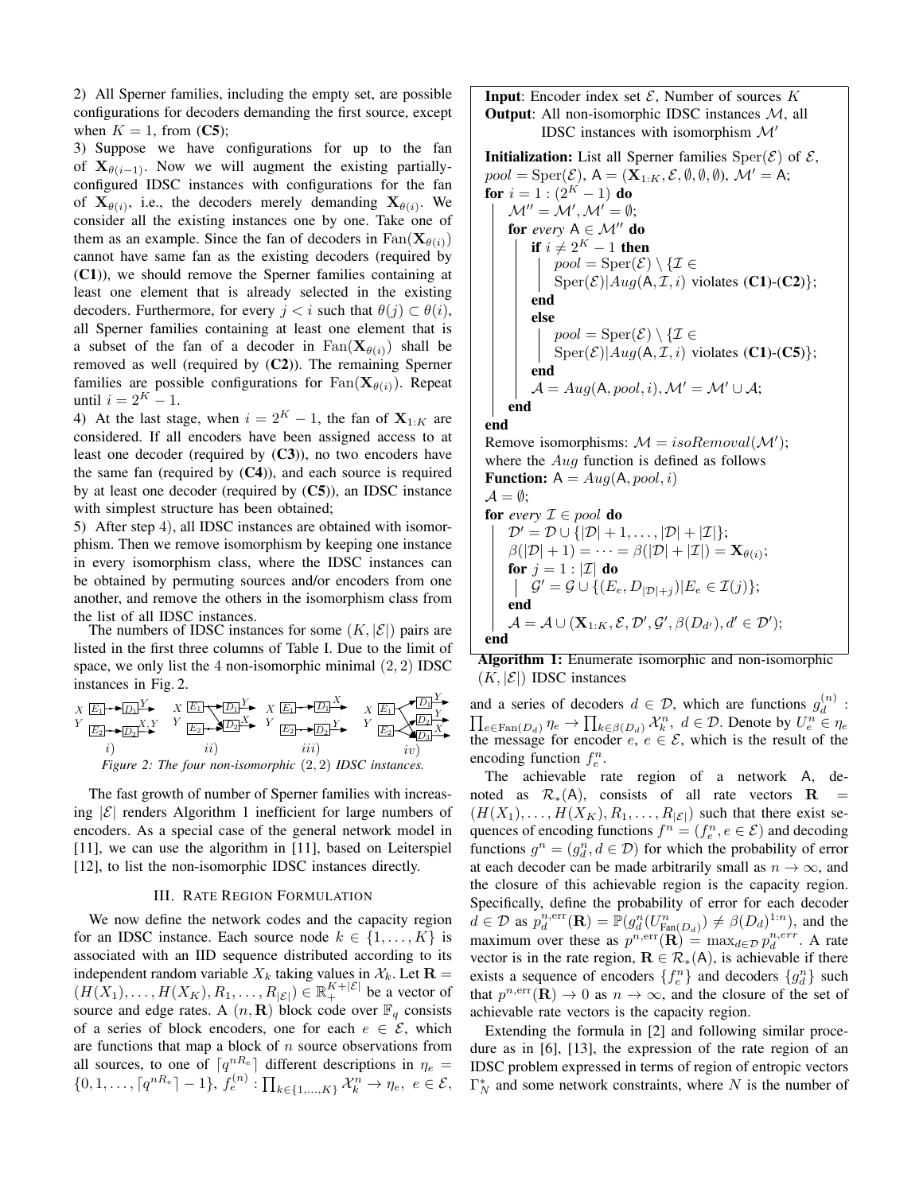2) All Sperner families, including the empty set, are possible configurations for decoders demanding the first source, except when  $K = 1$ , from (C5);

3) Suppose we have configurations for up to the fan of  $X_{\theta(i-1)}$ . Now we will augment the existing partiallyconfigured IDSC instances with configurations for the fan of  $X_{\theta(i)}$ , i.e., the decoders merely demanding  $X_{\theta(i)}$ . We consider all the existing instances one by one. Take one of them as an example. Since the fan of decoders in  $Fan(\mathbf{X}_{\theta(i)})$ cannot have same fan as the existing decoders (required by (C1)), we should remove the Sperner families containing at least one element that is already selected in the existing decoders. Furthermore, for every  $j < i$  such that  $\theta(j) \subset \theta(i)$ , all Sperner families containing at least one element that is a subset of the fan of a decoder in  $Fan(\mathbf{X}_{\theta(i)})$  shall be removed as well (required by  $(C2)$ ). The remaining Sperner families are possible configurations for  $\text{Fan}(\mathbf{X}_{\theta(i)})$ . Repeat until  $i = 2<sup>K</sup> - 1$ .

4) At the last stage, when  $i = 2<sup>K</sup> - 1$ , the fan of  $X_{1:K}$  are considered. If all encoders have been assigned access to at least one decoder (required by  $(C3)$ ), no two encoders have the same fan (required by  $(C4)$ ), and each source is required by at least one decoder (required by (C5)), an IDSC instance with simplest structure has been obtained;

5) After step 4), all IDSC instances are obtained with isomorphism. Then we remove isomorphism by keeping one instance in every isomorphism class, where the IDSC instances can be obtained by permuting sources and/or encoders from one another, and remove the others in the isomorphism class from the list of all IDSC instances.

The numbers of IDSC instances for some  $(K, |\mathcal{E}|)$  pairs are listed in the first three columns of Table I. Due to the limit of space, we only list the 4 non-isomorphic minimal  $(2, 2)$  IDSC instances in Fig. 2.

$$
X \xrightarrow{E_1 \rightarrow E_1} X \xrightarrow{E_1 \rightarrow E_1} X \xrightarrow{E_1 \rightarrow E_1} X \xrightarrow{E_1 \rightarrow E_1} X \xrightarrow{E_1 \rightarrow E_1} X \xrightarrow{E_1 \rightarrow E_1} X \xrightarrow{E_1 \rightarrow E_1} Y \xrightarrow{E_2 \rightarrow E_2} Y \xrightarrow{E_2 \rightarrow E_2} Y \xrightarrow{E_2 \rightarrow E_2} Y \xrightarrow{E_2 \rightarrow E_2} Y \xrightarrow{E_2 \rightarrow E_2} Y \xrightarrow{E_2 \rightarrow E_2} Y \xrightarrow{E_2 \rightarrow E_2} Y \xrightarrow{E_2 \rightarrow E_2} Y \xrightarrow{E_2 \rightarrow E_2} Y \xrightarrow{E_2 \rightarrow E_2} Y \xrightarrow{E_2 \rightarrow E_2} Y \xrightarrow{E_2 \rightarrow E_2} Y \xrightarrow{E_2 \rightarrow E_2} Y \xrightarrow{E_2 \rightarrow E_2} Y \xrightarrow{E_2 \rightarrow E_2} Y \xrightarrow{E_2 \rightarrow E_2} Y \xrightarrow{E_2 \rightarrow E_2} Y \xrightarrow{E_2 \rightarrow E_2} Y \xrightarrow{E_2 \rightarrow E_2} Y \xrightarrow{E_2 \rightarrow E_2} Y \xrightarrow{E_2 \rightarrow E_2} Y \xrightarrow{E_2 \rightarrow E_2} Y \xrightarrow{E_2 \rightarrow E_2} Y \xrightarrow{E_2 \rightarrow E_2} Y \xrightarrow{E_2 \rightarrow E_2} Y \xrightarrow{E_2 \rightarrow E_2} Y \xrightarrow{E_2 \rightarrow E_2} Y \xrightarrow{E_2 \rightarrow E_2} Y \xrightarrow{E_2 \rightarrow E_2} Y \xrightarrow{E_2 \rightarrow E_2} Y \xrightarrow{E_2 \rightarrow E_2} Y \xrightarrow{E_2 \rightarrow E_2} Y \xrightarrow{E_2 \rightarrow E_2} Y \xrightarrow{E_2 \rightarrow E_2} Y \xrightarrow{E_2 \rightarrow E_2} Y \xrightarrow{E_2 \rightarrow E_2} Y \xrightarrow{E_2 \rightarrow E_2} Y \xrightarrow{E_2 \rightarrow E_2} Y \xrightarrow{E_2 \rightarrow E_2} Y \xrightarrow{E_2 \rightarrow E_2} Y \xrightarrow{E_2 \rightarrow E_2} Y \xrightarrow{E_2 \rightarrow E_2} Y \xrightarrow{E_2 \rightarrow E_2} Y \xrightarrow{E_2 \rightarrow E_2} Y \xrightarrow{E_2 \rightarrow E_2} Y \xrightarrow{E_2 \rightarrow E_2} Y \xrightarrow{E_2 \rightarrow E_2} Y \x
$$

The fast growth of number of Sperner families with increasing  $|\mathcal{E}|$  renders Algorithm 1 inefficient for large numbers of encoders. As a special case of the general network model in [11], we can use the algorithm in [11], based on Leiterspiel [12], to list the non-isomorphic IDSC instances directly.

# III. RATE REGION FORMULATION

We now define the network codes and the capacity region for an IDSC instance. Each source node  $k \in \{1, ..., K\}$  is associated with an IID sequence distributed according to its independent random variable  $X_k$  taking values in  $\mathcal{X}_k$ . Let  $\mathbf{R} =$  $(H(X_1),...,H(X_K), R_1,...,R_{|\mathcal{E}|}) \in \mathbb{R}_+^{K+|\mathcal{E}|}$  be a vector of source and edge rates. A  $(n, \mathbf{R})$  block code over  $\mathbb{F}_q$  consists of a series of block encoders, one for each  $e \in \mathcal{E}$ , which are functions that map a block of  $n$  source observations from all sources, to one of  $\left[q^{nR_e}\right]$  different descriptions in  $\eta_e$  =  $\{0, 1, \ldots, \lceil q^{nR_e} \rceil - 1\}, f_e^{(n)} : \prod_{k \in \{1, \ldots, K\}} \mathcal{X}_k^n \to \eta_e, e \in \mathcal{E},$  **Input**: Encoder index set  $\mathcal{E}$ , Number of sources  $K$ Output: All non-isomorphic IDSC instances M, all IDSC instances with isomorphism  $\mathcal{M}'$ 

**Initialization:** List all Sperner families  $Sper(\mathcal{E})$  of  $\mathcal{E}$ ,  $pool = \text{Sper}(\mathcal{E}), A = (\mathbf{X}_{1:K}, \mathcal{E}, \emptyset, \emptyset, \emptyset), \mathcal{M}' = A;$ for  $i = 1$  :  $(2^{K} - 1)$  do  $\mathcal{M}'' = \mathcal{M}', \mathcal{M}' = \emptyset;$ for *every*  $A \in \mathcal{M}''$  do if  $i \neq 2^K - 1$  then  $pool = \text{Sper}(\mathcal{E}) \setminus \{ \mathcal{I} \in$  $Sper(\mathcal{E})$ |Aug(A, *I*, *i*) violates (C1)-(C2)}; end else  $pool = \text{Sper}(\mathcal{E}) \setminus \{ \mathcal{I} \in$  $Sper(\mathcal{E})|Aug(A, \mathcal{I}, i)$  violates (C1)-(C5)}; end  $\mathcal{A} = Aug(A, pool, i), \mathcal{M}' = \mathcal{M}' \cup \mathcal{A};$ end end

Remove isomorphisms:  $M = isoRemoval(M');$ where the  $Aug$  function is defined as follows **Function:**  $A = Aug(A, pool, i)$  $\mathcal{A} = \emptyset$ ;

**for** every 
$$
\mathcal{I} \in pool
$$
 **do**  
\n
$$
\mathcal{D}' = \mathcal{D} \cup \{|\mathcal{D}| + 1, ..., |\mathcal{D}| + |\mathcal{I}|\};
$$
\n
$$
\beta(|\mathcal{D}| + 1) = \cdots = \beta(|\mathcal{D}| + |\mathcal{I}|) = \mathbf{X}_{\theta(i)};
$$
\n**for**  $j = 1 : |\mathcal{I}|$  **do**  
\n
$$
|\mathcal{G}' = \mathcal{G} \cup \{ (E_e, D_{|\mathcal{D}|+j}) | E_e \in \mathcal{I}(j) \};
$$
\n**end**  
\n
$$
\mathcal{A} = \mathcal{A} \cup (\mathbf{X}_{1:K}, \mathcal{E}, \mathcal{D}', \mathcal{G}', \beta(D_{d'}), d' \in \mathcal{D}');
$$
\n**end**

Algorithm 1: Enumerate isomorphic and non-isomorphic  $(K, |\mathcal{E}|)$  IDSC instances

and a series of decoders  $d \in \mathcal{D}$ , which are functions  $g_d^{(n)}$ d and a series of decoders  $d \in \mathcal{D}$ , which are functions  $g_d^{(n)}$ :<br>  $\prod_{e \in \text{Fan}(D_d)} \eta_e \to \prod_{k \in \beta(D_d)} \mathcal{X}_k^n$ ,  $d \in \mathcal{D}$ . Denote by  $U_e^n \in \eta_e$ the message for encoder  $e, e \in \mathcal{E}$ , which is the result of the encoding function  $f_e^n$ .

The achievable rate region of a network A, denoted as  $\mathcal{R}_*(A)$ , consists of all rate vectors **R**  $(H(X_1),...,H(X_K), R_1,...,R_{|\mathcal{E}|})$  such that there exist sequences of encoding functions  $f^n = (f_e^n, e \in \mathcal{E})$  and decoding functions  $g^n = (g_d^n, d \in \mathcal{D})$  for which the probability of error at each decoder can be made arbitrarily small as  $n \to \infty$ , and the closure of this achievable region is the capacity region. Specifically, define the probability of error for each decoder  $d \in \mathcal{D}$  as  $p_d^{n, \text{err}}(\mathbf{R}) = \mathbb{P}(g_d^n(U_{\text{Fan}(D_d)}^n) \neq \beta(D_d)^{1:n})$ , and the maximum over these as  $p^{n, \text{err}}(\mathbf{R}) = \max_{d \in \mathcal{D}} p_d^{n, \text{err}}$ . A rate vector is in the rate region,  $\mathbf{R} \in \mathcal{R}_*(\mathsf{A})$ , is achievable if there exists a sequence of encoders  $\{f_e^n\}$  and decoders  $\{g_d^n\}$  such that  $p^{n,\text{err}}(\mathbf{R}) \to 0$  as  $n \to \infty$ , and the closure of the set of achievable rate vectors is the capacity region.

Extending the formula in [2] and following similar procedure as in [6], [13], the expression of the rate region of an IDSC problem expressed in terms of region of entropic vectors  $\Gamma_N^*$  and some network constraints, where N is the number of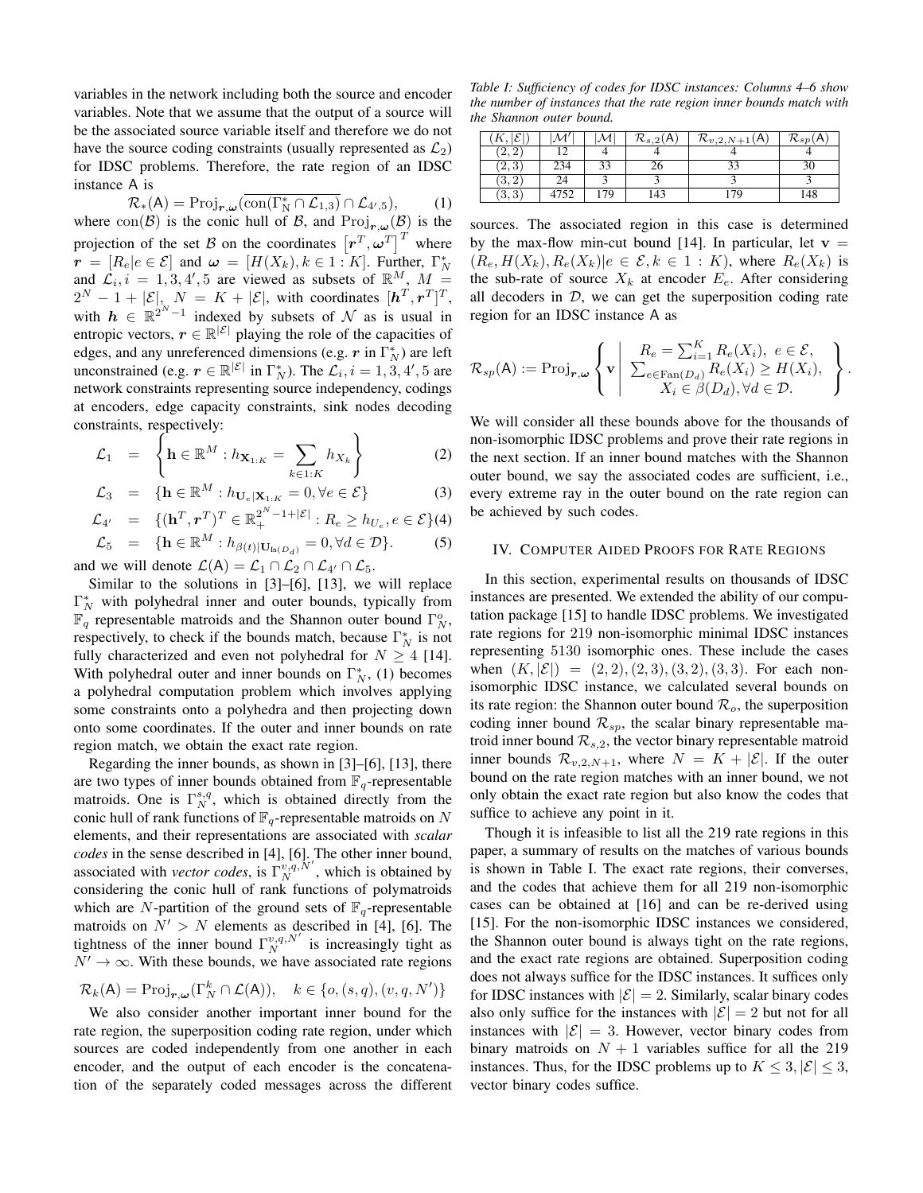variables in the network including both the source and encoder variables. Note that we assume that the output of a source will be the associated source variable itself and therefore we do not have the source coding constraints (usually represented as  $\mathcal{L}_2$ ) for IDSC problems. Therefore, the rate region of an IDSC instance A is

$$
\mathcal{R}_{*}(\mathsf{A}) = \text{Proj}_{\mathbf{r},\boldsymbol{\omega}}(\overline{\text{con}(\Gamma_{\mathsf{N}}^{*} \cap \mathcal{L}_{1,3})} \cap \mathcal{L}_{4',5}),\tag{1}
$$

where  $con(\mathcal{B})$  is the conic hull of  $\mathcal{B}$ , and  $Proj_{r,\omega}(\mathcal{B})$  is the projection of the set B on the coordinates  $[r^T, \omega^T]^T$  where  $\mathbf{r} = [R_e | e \in \mathcal{E}]$  and  $\boldsymbol{\omega} = [H(X_k), k \in 1 : K]$ . Further,  $\Gamma_N^*$  $\mathcal{L}_i = [H_e] \in \mathcal{L}_j$  and  $\mathcal{L}_i = [H(X_k), k \in \mathcal{L}_i]$ . Putther,  $\mathcal{L}_N$ <br>and  $\mathcal{L}_i$ ,  $i = 1, 3, 4', 5$  are viewed as subsets of  $\mathbb{R}^M$ ,  $M = \mathbb{R}^M$  $2^N - 1 + |\mathcal{E}|, N = K + |\mathcal{E}|$ , with coordinates  $[h^T, r^T]^T$ , with  $h \in \mathbb{R}^{2^N-1}$  indexed by subsets of N as is usual in entropic vectors,  $r \in \mathbb{R}^{|\mathcal{E}|}$  playing the role of the capacities of edges, and any unreferenced dimensions (e.g.  $r$  in  $\Gamma_N^*$ ) are left unconstrained (e.g.  $\mathbf{r} \in \mathbb{R}^{|\mathcal{E}|}$  in  $\Gamma_N^*$ ). The  $\mathcal{L}_i$ ,  $i = 1, 3, 4', 5$  are network constraints representing source independency, codings at encoders, edge capacity constraints, sink nodes decoding constraints, respectively:

$$
\mathcal{L}_1 = \left\{ \mathbf{h} \in \mathbb{R}^M : h_{\mathbf{X}_{1:K}} = \sum_{k \in 1:K} h_{X_k} \right\} \tag{2}
$$

$$
\mathcal{L}_3 = \{ \mathbf{h} \in \mathbb{R}^M : h_{\mathbf{U}_e | \mathbf{X}_{1:K}} = 0, \forall e \in \mathcal{E} \}
$$
(3)

$$
\mathcal{L}_{4'} = \{ (\mathbf{h}^T, \mathbf{r}^T)^T \in \mathbb{R}_+^{2^{N}-1+|\mathcal{E}|} : R_e \ge h_{U_e}, e \in \mathcal{E} \} (4)
$$

$$
\mathcal{L}_5 = \{ \mathbf{h} \in \mathbb{R}^M : h_{\beta(t)|\mathbf{U}_{\ln(D_d)}} = 0, \forall d \in \mathcal{D} \}. \tag{5}
$$

and we will denote  $\mathcal{L}(\mathsf{A}) = \mathcal{L}_1 \cap \mathcal{L}_2 \cap \mathcal{L}_{4'} \cap \mathcal{L}_5$ .

Similar to the solutions in [3]–[6], [13], we will replace  $\Gamma_N^*$  with polyhedral inner and outer bounds, typically from  $\mathbb{F}_q$  representable matroids and the Shannon outer bound  $\Gamma_N^o$ , respectively, to check if the bounds match, because  $\Gamma_N^*$  is not fully characterized and even not polyhedral for  $N \geq 4$  [14]. With polyhedral outer and inner bounds on  $\Gamma_N^*$ , (1) becomes a polyhedral computation problem which involves applying some constraints onto a polyhedra and then projecting down onto some coordinates. If the outer and inner bounds on rate region match, we obtain the exact rate region.

Regarding the inner bounds, as shown in [3]–[6], [13], there are two types of inner bounds obtained from  $\mathbb{F}_q$ -representable matroids. One is  $\Gamma_N^{s,q}$ , which is obtained directly from the conic hull of rank functions of  $\mathbb{F}_q$ -representable matroids on N elements, and their representations are associated with *scalar codes* in the sense described in [4], [6]. The other inner bound, associated with *vector codes*, is  $\Gamma_N^{v,q,N'}$ , which is obtained by considering the conic hull of rank functions of polymatroids which are N-partition of the ground sets of  $\mathbb{F}_q$ -representable matroids on  $N' > N$  elements as described in [4], [6]. The tightness of the inner bound  $\Gamma_N^{v,q,N'}$  is increasingly tight as  $N' \rightarrow \infty$ . With these bounds, we have associated rate regions

$$
\mathcal{R}_k(\mathsf{A}) = \text{Proj}_{\mathbf{r},\boldsymbol{\omega}}(\Gamma_N^k \cap \mathcal{L}(\mathsf{A})), \quad k \in \{o,(s,q),(v,q,N')\}
$$

We also consider another important inner bound for the rate region, the superposition coding rate region, under which sources are coded independently from one another in each encoder, and the output of each encoder is the concatenation of the separately coded messages across the different

*Table I: Sufficiency of codes for IDSC instances: Columns 4–6 show the number of instances that the rate region inner bounds match with the Shannon outer bound.*

| Σ<br>$\cdot$ $\Lambda$ |      | $\mathcal M$ | $\mathcal{R}_{s,2}(\mathsf{A})$ | $\mathcal{R}_{v,2,N+1}(\mathsf{A})$ | $\mathcal{R}_{sp}(\mathsf{A})$ |
|------------------------|------|--------------|---------------------------------|-------------------------------------|--------------------------------|
| ച                      |      |              |                                 |                                     |                                |
| (2, 3)                 | 234  | 33           |                                 |                                     |                                |
| (3, 2)                 | 24   |              |                                 |                                     |                                |
| (3, 3)                 | 4752 | 179          | 143                             | 179                                 | 148                            |

sources. The associated region in this case is determined by the max-flow min-cut bound [14]. In particular, let  $v =$  $(R_e, H(X_k), R_e(X_k)|e \in \mathcal{E}, k \in 1: K$ , where  $R_e(X_k)$  is the sub-rate of source  $X_k$  at encoder  $E_e$ . After considering all decoders in  $D$ , we can get the superposition coding rate region for an IDSC instance A as

$$
\mathcal{R}_{sp}(\mathsf{A}) := \mathrm{Proj}_{\mathbf{r},\omega} \left\{ \mathbf{v} \middle| \begin{array}{c} R_e = \sum_{i=1}^K R_e(X_i), \ e \in \mathcal{E}, \\ \sum_{e \in \mathrm{Fan}(D_d)} R_e(X_i) \ge H(X_i), \\ X_i \in \beta(D_d), \forall d \in \mathcal{D}. \end{array} \right\}.
$$

We will consider all these bounds above for the thousands of non-isomorphic IDSC problems and prove their rate regions in the next section. If an inner bound matches with the Shannon outer bound, we say the associated codes are sufficient, i.e., every extreme ray in the outer bound on the rate region can be achieved by such codes.

#### IV. COMPUTER AIDED PROOFS FOR RATE REGIONS

In this section, experimental results on thousands of IDSC instances are presented. We extended the ability of our computation package [15] to handle IDSC problems. We investigated rate regions for 219 non-isomorphic minimal IDSC instances representing 5130 isomorphic ones. These include the cases when  $(K, |\mathcal{E}|) = (2, 2), (2, 3), (3, 2), (3, 3)$ . For each nonisomorphic IDSC instance, we calculated several bounds on its rate region: the Shannon outer bound  $\mathcal{R}_{o}$ , the superposition coding inner bound  $\mathcal{R}_{sp}$ , the scalar binary representable matroid inner bound  $\mathcal{R}_{s,2}$ , the vector binary representable matroid inner bounds  $\mathcal{R}_{v,2,N+1}$ , where  $N = K + |\mathcal{E}|$ . If the outer bound on the rate region matches with an inner bound, we not only obtain the exact rate region but also know the codes that suffice to achieve any point in it.

Though it is infeasible to list all the 219 rate regions in this paper, a summary of results on the matches of various bounds is shown in Table I. The exact rate regions, their converses, and the codes that achieve them for all 219 non-isomorphic cases can be obtained at [16] and can be re-derived using [15]. For the non-isomorphic IDSC instances we considered, the Shannon outer bound is always tight on the rate regions, and the exact rate regions are obtained. Superposition coding does not always suffice for the IDSC instances. It suffices only for IDSC instances with  $|\mathcal{E}| = 2$ . Similarly, scalar binary codes also only suffice for the instances with  $|\mathcal{E}| = 2$  but not for all instances with  $|\mathcal{E}| = 3$ . However, vector binary codes from binary matroids on  $N + 1$  variables suffice for all the 219 instances. Thus, for the IDSC problems up to  $K \leq 3, |\mathcal{E}| \leq 3$ , vector binary codes suffice.